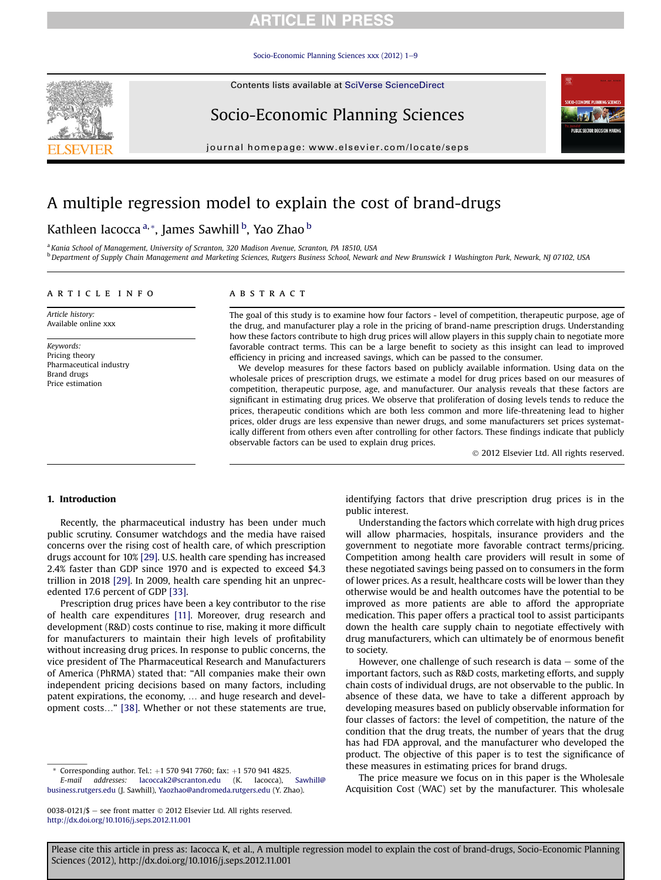### **ARTICLE IN PRESS**

[Socio-Economic Planning Sciences xxx \(2012\) 1](http://dx.doi.org/10.1016/j.seps.2012.11.001)-[9](http://dx.doi.org/10.1016/j.seps.2012.11.001)

Contents lists available at SciVerse ScienceDirect



Socio-Economic Planning Sciences

journal homepage: [www.elsevier.com/locate/seps](http://www.elsevier.com/locate/seps)



## A multiple regression model to explain the cost of brand-drugs

### Kathleen Iacocca<sup>a,</sup>\*, James Sawhill <sup>b</sup>, Yao Zhao <sup>b</sup>

<sup>a</sup> Kania School of Management, University of Scranton, 320 Madison Avenue, Scranton, PA 18510, USA <sup>b</sup> Department of Supply Chain Management and Marketing Sciences, Rutgers Business School, Newark and New Brunswick 1 Washington Park, Newark, NJ 07102, USA

#### article info

Article history: Available online xxx

Keywords: Pricing theory Pharmaceutical industry Brand drugs Price estimation

#### ABSTRACT

The goal of this study is to examine how four factors - level of competition, therapeutic purpose, age of the drug, and manufacturer play a role in the pricing of brand-name prescription drugs. Understanding how these factors contribute to high drug prices will allow players in this supply chain to negotiate more favorable contract terms. This can be a large benefit to society as this insight can lead to improved efficiency in pricing and increased savings, which can be passed to the consumer.

We develop measures for these factors based on publicly available information. Using data on the wholesale prices of prescription drugs, we estimate a model for drug prices based on our measures of competition, therapeutic purpose, age, and manufacturer. Our analysis reveals that these factors are significant in estimating drug prices. We observe that proliferation of dosing levels tends to reduce the prices, therapeutic conditions which are both less common and more life-threatening lead to higher prices, older drugs are less expensive than newer drugs, and some manufacturers set prices systematically different from others even after controlling for other factors. These findings indicate that publicly observable factors can be used to explain drug prices.

2012 Elsevier Ltd. All rights reserved.

#### 1. Introduction

Recently, the pharmaceutical industry has been under much public scrutiny. Consumer watchdogs and the media have raised concerns over the rising cost of health care, of which prescription drugs account for 10% [\[29\]](#page--1-0). U.S. health care spending has increased 2.4% faster than GDP since 1970 and is expected to exceed \$4.3 trillion in 2018 [\[29\]](#page--1-0). In 2009, health care spending hit an unprecedented 17.6 percent of GDP [\[33\].](#page--1-0)

Prescription drug prices have been a key contributor to the rise of health care expenditures [\[11\].](#page--1-0) Moreover, drug research and development (R&D) costs continue to rise, making it more difficult for manufacturers to maintain their high levels of profitability without increasing drug prices. In response to public concerns, the vice president of The Pharmaceutical Research and Manufacturers of America (PhRMA) stated that: "All companies make their own independent pricing decisions based on many factors, including patent expirations, the economy, ... and huge research and devel-opment costs..." [\[38\]](#page--1-0). Whether or not these statements are true, identifying factors that drive prescription drug prices is in the public interest.

Understanding the factors which correlate with high drug prices will allow pharmacies, hospitals, insurance providers and the government to negotiate more favorable contract terms/pricing. Competition among health care providers will result in some of these negotiated savings being passed on to consumers in the form of lower prices. As a result, healthcare costs will be lower than they otherwise would be and health outcomes have the potential to be improved as more patients are able to afford the appropriate medication. This paper offers a practical tool to assist participants down the health care supply chain to negotiate effectively with drug manufacturers, which can ultimately be of enormous benefit to society.

However, one challenge of such research is data  $-$  some of the important factors, such as R&D costs, marketing efforts, and supply chain costs of individual drugs, are not observable to the public. In absence of these data, we have to take a different approach by developing measures based on publicly observable information for four classes of factors: the level of competition, the nature of the condition that the drug treats, the number of years that the drug has had FDA approval, and the manufacturer who developed the product. The objective of this paper is to test the significance of these measures in estimating prices for brand drugs.

The price measure we focus on in this paper is the Wholesale Acquisition Cost (WAC) set by the manufacturer. This wholesale

Please cite this article in press as: Iacocca K, et al., A multiple regression model to explain the cost of brand-drugs, Socio-Economic Planning Sciences (2012), http://dx.doi.org/10.1016/j.seps.2012.11.001

Corresponding author. Tel.: +1 570 941 7760; fax: +1 570 941 4825. E-mail addresses: [Iacoccak2@scranton.edu](mailto:Iacoccak2@scranton.edu) (K. Iacocca), [Sawhill@](mailto:Sawhill@business.rutgers.edu) [business.rutgers.edu](mailto:Sawhill@business.rutgers.edu) (J. Sawhill), [Yaozhao@andromeda.rutgers.edu](mailto:Yaozhao@andromeda.rutgers.edu) (Y. Zhao).

<sup>0038-0121/\$ -</sup> see front matter  $\odot$  2012 Elsevier Ltd. All rights reserved. <http://dx.doi.org/10.1016/j.seps.2012.11.001>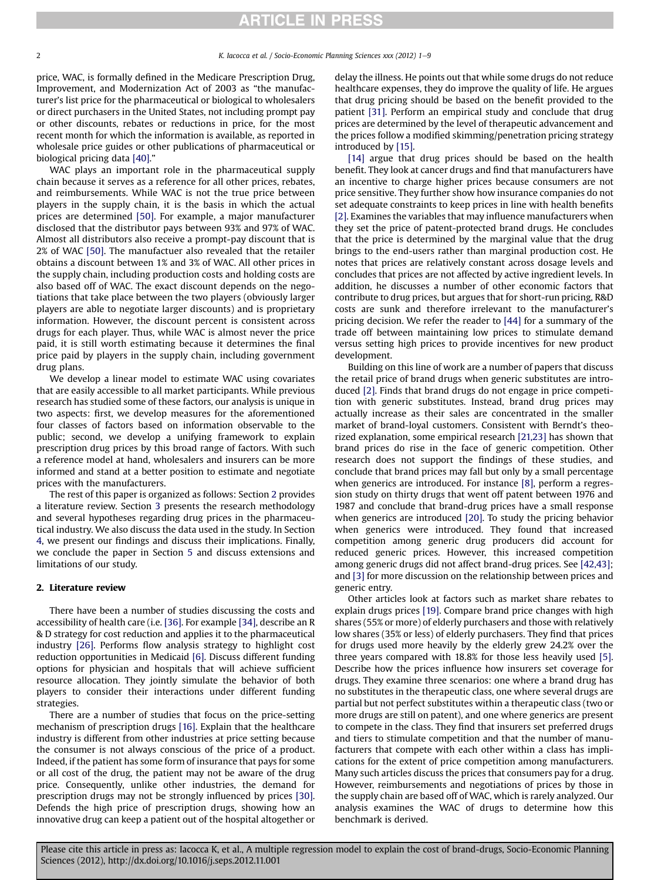### **RTICLE IN PRESS**

price, WAC, is formally defined in the Medicare Prescription Drug, Improvement, and Modernization Act of 2003 as "the manufacturer's list price for the pharmaceutical or biological to wholesalers or direct purchasers in the United States, not including prompt pay or other discounts, rebates or reductions in price, for the most recent month for which the information is available, as reported in wholesale price guides or other publications of pharmaceutical or biological pricing data [\[40\].](#page--1-0)"

WAC plays an important role in the pharmaceutical supply chain because it serves as a reference for all other prices, rebates, and reimbursements. While WAC is not the true price between players in the supply chain, it is the basis in which the actual prices are determined [\[50\].](#page--1-0) For example, a major manufacturer disclosed that the distributor pays between 93% and 97% of WAC. Almost all distributors also receive a prompt-pay discount that is 2% of WAC [\[50\].](#page--1-0) The manufactuer also revealed that the retailer obtains a discount between 1% and 3% of WAC. All other prices in the supply chain, including production costs and holding costs are also based off of WAC. The exact discount depends on the negotiations that take place between the two players (obviously larger players are able to negotiate larger discounts) and is proprietary information. However, the discount percent is consistent across drugs for each player. Thus, while WAC is almost never the price paid, it is still worth estimating because it determines the final price paid by players in the supply chain, including government drug plans.

We develop a linear model to estimate WAC using covariates that are easily accessible to all market participants. While previous research has studied some of these factors, our analysis is unique in two aspects: first, we develop measures for the aforementioned four classes of factors based on information observable to the public; second, we develop a unifying framework to explain prescription drug prices by this broad range of factors. With such a reference model at hand, wholesalers and insurers can be more informed and stand at a better position to estimate and negotiate prices with the manufacturers.

The rest of this paper is organized as follows: Section 2 provides a literature review. Section [3](#page--1-0) presents the research methodology and several hypotheses regarding drug prices in the pharmaceutical industry. We also discuss the data used in the study. In Section [4,](#page--1-0) we present our findings and discuss their implications. Finally, we conclude the paper in Section [5](#page--1-0) and discuss extensions and limitations of our study.

#### 2. Literature review

There have been a number of studies discussing the costs and accessibility of health care (i.e. [\[36\]](#page--1-0). For example [\[34\]](#page--1-0), describe an R & D strategy for cost reduction and applies it to the pharmaceutical industry [\[26\]](#page--1-0). Performs flow analysis strategy to highlight cost reduction opportunities in Medicaid [\[6\].](#page--1-0) Discuss different funding options for physician and hospitals that will achieve sufficient resource allocation. They jointly simulate the behavior of both players to consider their interactions under different funding strategies.

There are a number of studies that focus on the price-setting mechanism of prescription drugs [\[16\]](#page--1-0). Explain that the healthcare industry is different from other industries at price setting because the consumer is not always conscious of the price of a product. Indeed, if the patient has some form of insurance that pays for some or all cost of the drug, the patient may not be aware of the drug price. Consequently, unlike other industries, the demand for prescription drugs may not be strongly influenced by prices [\[30\].](#page--1-0) Defends the high price of prescription drugs, showing how an innovative drug can keep a patient out of the hospital altogether or

delay the illness. He points out that while some drugs do not reduce healthcare expenses, they do improve the quality of life. He argues that drug pricing should be based on the benefit provided to the patient [\[31\]](#page--1-0). Perform an empirical study and conclude that drug prices are determined by the level of therapeutic advancement and the prices follow a modified skimming/penetration pricing strategy introduced by [\[15\]](#page--1-0).

[\[14\]](#page--1-0) argue that drug prices should be based on the health benefit. They look at cancer drugs and find that manufacturers have an incentive to charge higher prices because consumers are not price sensitive. They further show how insurance companies do not set adequate constraints to keep prices in line with health benefits [\[2\]](#page--1-0). Examines the variables that may influence manufacturers when they set the price of patent-protected brand drugs. He concludes that the price is determined by the marginal value that the drug brings to the end-users rather than marginal production cost. He notes that prices are relatively constant across dosage levels and concludes that prices are not affected by active ingredient levels. In addition, he discusses a number of other economic factors that contribute to drug prices, but argues that for short-run pricing, R&D costs are sunk and therefore irrelevant to the manufacturer's pricing decision. We refer the reader to [\[44\]](#page--1-0) for a summary of the trade off between maintaining low prices to stimulate demand versus setting high prices to provide incentives for new product development.

Building on this line of work are a number of papers that discuss the retail price of brand drugs when generic substitutes are introduced [\[2\].](#page--1-0) Finds that brand drugs do not engage in price competition with generic substitutes. Instead, brand drug prices may actually increase as their sales are concentrated in the smaller market of brand-loyal customers. Consistent with Berndt's theorized explanation, some empirical research [\[21,23\]](#page--1-0) has shown that brand prices do rise in the face of generic competition. Other research does not support the findings of these studies, and conclude that brand prices may fall but only by a small percentage when generics are introduced. For instance [\[8\],](#page--1-0) perform a regression study on thirty drugs that went off patent between 1976 and 1987 and conclude that brand-drug prices have a small response when generics are introduced [\[20\].](#page--1-0) To study the pricing behavior when generics were introduced. They found that increased competition among generic drug producers did account for reduced generic prices. However, this increased competition among generic drugs did not affect brand-drug prices. See [\[42,43\]](#page--1-0); and [\[3\]](#page--1-0) for more discussion on the relationship between prices and generic entry.

Other articles look at factors such as market share rebates to explain drugs prices [\[19\].](#page--1-0) Compare brand price changes with high shares (55% or more) of elderly purchasers and those with relatively low shares (35% or less) of elderly purchasers. They find that prices for drugs used more heavily by the elderly grew 24.2% over the three years compared with 18.8% for those less heavily used [\[5\].](#page--1-0) Describe how the prices influence how insurers set coverage for drugs. They examine three scenarios: one where a brand drug has no substitutes in the therapeutic class, one where several drugs are partial but not perfect substitutes within a therapeutic class (two or more drugs are still on patent), and one where generics are present to compete in the class. They find that insurers set preferred drugs and tiers to stimulate competition and that the number of manufacturers that compete with each other within a class has implications for the extent of price competition among manufacturers. Many such articles discuss the prices that consumers pay for a drug. However, reimbursements and negotiations of prices by those in the supply chain are based off of WAC, which is rarely analyzed. Our analysis examines the WAC of drugs to determine how this benchmark is derived.

Please cite this article in press as: Iacocca K, et al., A multiple regression model to explain the cost of brand-drugs, Socio-Economic Planning Sciences (2012), http://dx.doi.org/10.1016/j.seps.2012.11.001